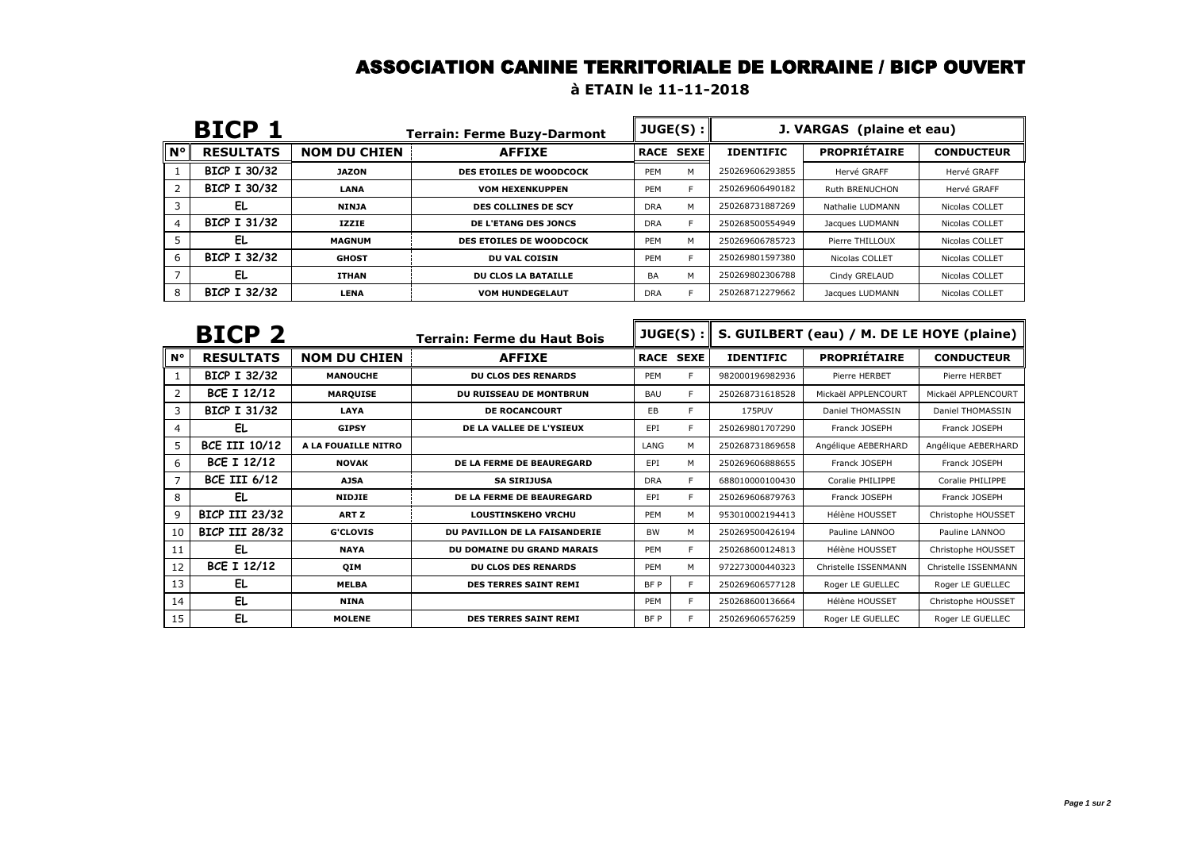#### ASSOCIATION CANINE TERRITORIALE DE LORRAINE / BICP OUVERT

#### **à ETAIN le 11-11-2018**

| <b>BICP</b>        |                     |                     | <b>Terrain: Ferme Buzy-Darmont</b> |            | JUGE(S):         | J. VARGAS (plaine et eau) |                     |                   |  |
|--------------------|---------------------|---------------------|------------------------------------|------------|------------------|---------------------------|---------------------|-------------------|--|
| $\mathsf{N}^\circ$ | <b>RESULTATS</b>    | <b>NOM DU CHIEN</b> | <b>AFFIXE</b>                      |            | <b>RACE SEXE</b> | <b>IDENTIFIC</b>          | <b>PROPRIETAIRE</b> | <b>CONDUCTEUR</b> |  |
|                    | <b>BICP I 30/32</b> | <b>JAZON</b>        | <b>DES ETOILES DE WOODCOCK</b>     | PEM        | M                | 250269606293855           | Hervé GRAFF         | Hervé GRAFF       |  |
|                    | BICP I 30/32        | <b>LANA</b>         | <b>VOM HEXENKUPPEN</b>             | PEM        |                  | 250269606490182           | Ruth BRENUCHON      | Hervé GRAFF       |  |
|                    | EL                  | <b>NINJA</b>        | <b>DES COLLINES DE SCY</b>         | <b>DRA</b> | M                | 250268731887269           | Nathalie LUDMANN    | Nicolas COLLET    |  |
| 4                  | BICP I 31/32        | <b>IZZIE</b>        | <b>DE L'ETANG DES JONCS</b>        | <b>DRA</b> |                  | 250268500554949           | Jacques LUDMANN     | Nicolas COLLET    |  |
|                    | EL                  | <b>MAGNUM</b>       | <b>DES ETOILES DE WOODCOCK</b>     | PEM        | M                | 250269606785723           | Pierre THILLOUX     | Nicolas COLLET    |  |
| 6                  | BICP I 32/32        | <b>GHOST</b>        | <b>DU VAL COISIN</b>               | PEM        |                  | 250269801597380           | Nicolas COLLET      | Nicolas COLLET    |  |
|                    | EL                  | <b>ITHAN</b>        | <b>DU CLOS LA BATAILLE</b>         | BA         | M                | 250269802306788           | Cindy GRELAUD       | Nicolas COLLET    |  |
| 8                  | BICP I 32/32        | LENA                | <b>VOM HUNDEGELAUT</b>             | <b>DRA</b> |                  | 250268712279662           | Jacques LUDMANN     | Nicolas COLLET    |  |

|             | BICP <sub>2</sub>     |                     | <b>Terrain: Ferme du Haut Bois</b> |            | JUGE(S):         |                  | S. GUILBERT (eau) / M. DE LE HOYE (plaine) |                      |
|-------------|-----------------------|---------------------|------------------------------------|------------|------------------|------------------|--------------------------------------------|----------------------|
| $N^{\circ}$ | <b>RESULTATS</b>      | <b>NOM DU CHIEN</b> | <b>AFFIXE</b>                      |            | <b>RACE SEXE</b> | <b>IDENTIFIC</b> | <b>PROPRIÉTAIRE</b>                        | <b>CONDUCTEUR</b>    |
|             | BICP I 32/32          | <b>MANOUCHE</b>     | <b>DU CLOS DES RENARDS</b>         | PEM        |                  | 982000196982936  | Pierre HERBET                              | Pierre HERBET        |
| 2           | <b>BCE I 12/12</b>    | <b>MARQUISE</b>     | <b>DU RUISSEAU DE MONTBRUN</b>     | <b>BAU</b> | F                | 250268731618528  | Mickaël APPLENCOURT                        | Mickaël APPLENCOURT  |
| 3           | <b>BICP I 31/32</b>   | LAYA                | <b>DE ROCANCOURT</b>               | EB         | E.               | 175PUV           | Daniel THOMASSIN                           | Daniel THOMASSIN     |
| 4           | EL                    | <b>GIPSY</b>        | DE LA VALLEE DE L'YSIEUX           | EPI        |                  | 250269801707290  | Franck JOSEPH                              | Franck JOSEPH        |
| 5           | <b>BCE III 10/12</b>  | A LA FOUAILLE NITRO |                                    | LANG       | M                | 250268731869658  | Angélique AEBERHARD                        | Angélique AEBERHARD  |
| 6           | <b>BCE I 12/12</b>    | <b>NOVAK</b>        | DE LA FERME DE BEAUREGARD          | EPI        | M                | 250269606888655  | Franck JOSEPH                              | Franck JOSEPH        |
|             | <b>BCE III 6/12</b>   | <b>AJSA</b>         | <b>SA SIRIJUSA</b>                 | <b>DRA</b> | E.               | 688010000100430  | Coralie PHILIPPE                           | Coralie PHILIPPE     |
| 8           | EL.                   | <b>NIDJIE</b>       | DE LA FERME DE BEAUREGARD          | EPI        | E.               | 250269606879763  | Franck JOSEPH                              | Franck JOSEPH        |
| 9           | <b>BICP III 23/32</b> | ART Z               | <b>LOUSTINSKEHO VRCHU</b>          | PEM        | M                | 953010002194413  | Hélène HOUSSET                             | Christophe HOUSSET   |
| 10          | BICP III 28/32        | <b>G'CLOVIS</b>     | DU PAVILLON DE LA FAISANDERIE      | <b>BW</b>  | M                | 250269500426194  | Pauline LANNOO                             | Pauline LANNOO       |
| 11          | EL                    | <b>NAYA</b>         | DU DOMAINE DU GRAND MARAIS         | PEM        | F                | 250268600124813  | Hélène HOUSSET                             | Christophe HOUSSET   |
| 12          | <b>BCE I 12/12</b>    | <b>OIM</b>          | <b>DU CLOS DES RENARDS</b>         | PEM        | M                | 972273000440323  | Christelle ISSENMANN                       | Christelle ISSENMANN |
| 13          | EL.                   | <b>MELBA</b>        | <b>DES TERRES SAINT REMI</b>       | BF P       |                  | 250269606577128  | Roger LE GUELLEC                           | Roger LE GUELLEC     |
| 14          | EL.                   | <b>NINA</b>         |                                    | PEM        | E.               | 250268600136664  | Hélène HOUSSET                             | Christophe HOUSSET   |
| 15          | EL                    | <b>MOLENE</b>       | <b>DES TERRES SAINT REMI</b>       | BF P       |                  | 250269606576259  | Roger LE GUELLEC                           | Roger LE GUELLEC     |